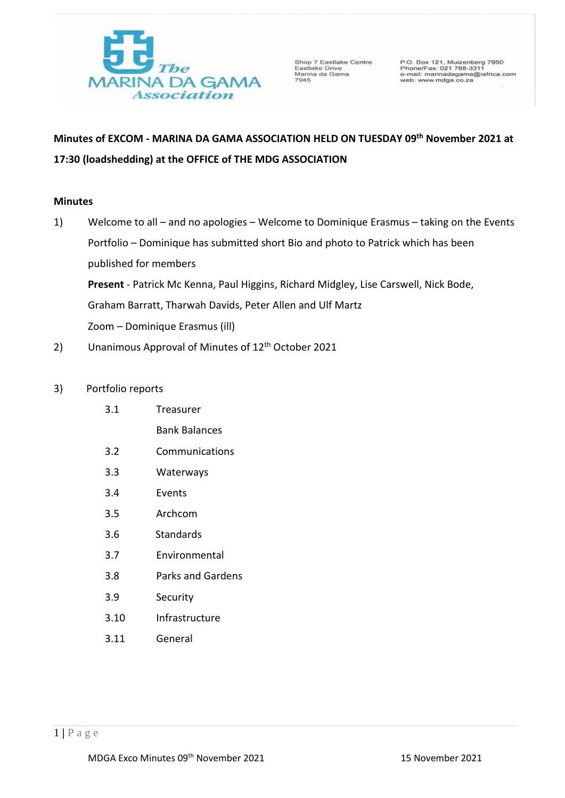

Shop 7 Eastlake Centre<br>Eastlake Drive<br>Marina da Gama<br>7945

P.O. Box 121, Muizenberg 7950<br>Phone/Fax: 021 788-3311<br>e-mail: marinadagama@iafrica.com<br>web: www.mdga.co.za

# **Minutes of EXCOM - MARINA DA GAMA ASSOCIATION HELD ON TUESDAY 09th November 2021 at 17:30 (loadshedding) at the OFFICE of THE MDG ASSOCIATION**

# **Minutes**

- 1) Welcome to all and no apologies Welcome to Dominique Erasmus taking on the Events Portfolio – Dominique has submitted short Bio and photo to Patrick which has been published for members **Present** - Patrick Mc Kenna, Paul Higgins, Richard Midgley, Lise Carswell, Nick Bode, Graham Barratt, Tharwah Davids, Peter Allen and Ulf Martz Zoom – Dominique Erasmus (ill)
- 2) Unanimous Approval of Minutes of 12<sup>th</sup> October 2021

# 3) Portfolio reports

- 3.1 Treasurer
	- Bank Balances
- 3.2 Communications
- 3.3 Waterways
- 3.4 Events
- 3.5 Archcom
- 3.6 Standards
- 3.7 Environmental
- 3.8 Parks and Gardens
- 3.9 Security
- 3.10 Infrastructure
- 3.11 General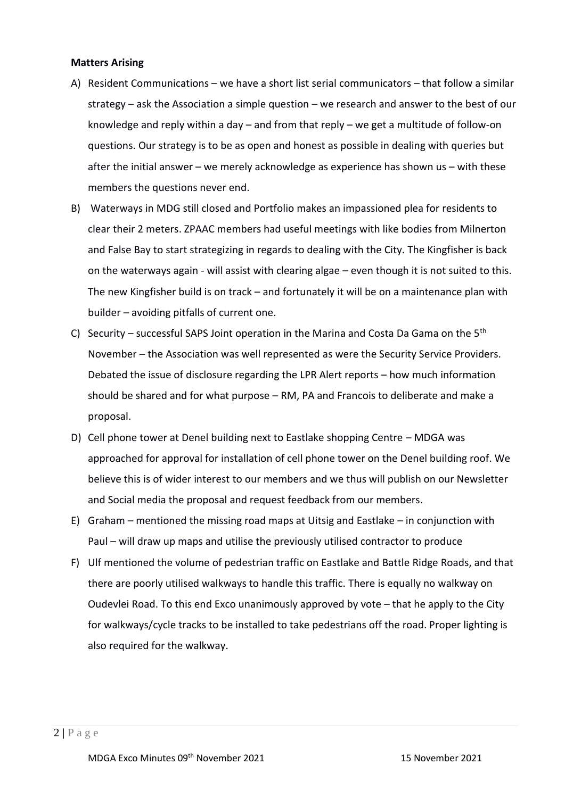# **Matters Arising**

- A) Resident Communications we have a short list serial communicators that follow a similar strategy – ask the Association a simple question – we research and answer to the best of our knowledge and reply within a day – and from that reply – we get a multitude of follow-on questions. Our strategy is to be as open and honest as possible in dealing with queries but after the initial answer – we merely acknowledge as experience has shown us – with these members the questions never end.
- B) Waterways in MDG still closed and Portfolio makes an impassioned plea for residents to clear their 2 meters. ZPAAC members had useful meetings with like bodies from Milnerton and False Bay to start strategizing in regards to dealing with the City. The Kingfisher is back on the waterways again - will assist with clearing algae – even though it is not suited to this. The new Kingfisher build is on track – and fortunately it will be on a maintenance plan with builder – avoiding pitfalls of current one.
- C) Security successful SAPS Joint operation in the Marina and Costa Da Gama on the  $5<sup>th</sup>$ November – the Association was well represented as were the Security Service Providers. Debated the issue of disclosure regarding the LPR Alert reports – how much information should be shared and for what purpose – RM, PA and Francois to deliberate and make a proposal.
- D) Cell phone tower at Denel building next to Eastlake shopping Centre MDGA was approached for approval for installation of cell phone tower on the Denel building roof. We believe this is of wider interest to our members and we thus will publish on our Newsletter and Social media the proposal and request feedback from our members.
- E) Graham mentioned the missing road maps at Uitsig and Eastlake in conjunction with Paul – will draw up maps and utilise the previously utilised contractor to produce
- F) Ulf mentioned the volume of pedestrian traffic on Eastlake and Battle Ridge Roads, and that there are poorly utilised walkways to handle this traffic. There is equally no walkway on Oudevlei Road. To this end Exco unanimously approved by vote – that he apply to the City for walkways/cycle tracks to be installed to take pedestrians off the road. Proper lighting is also required for the walkway.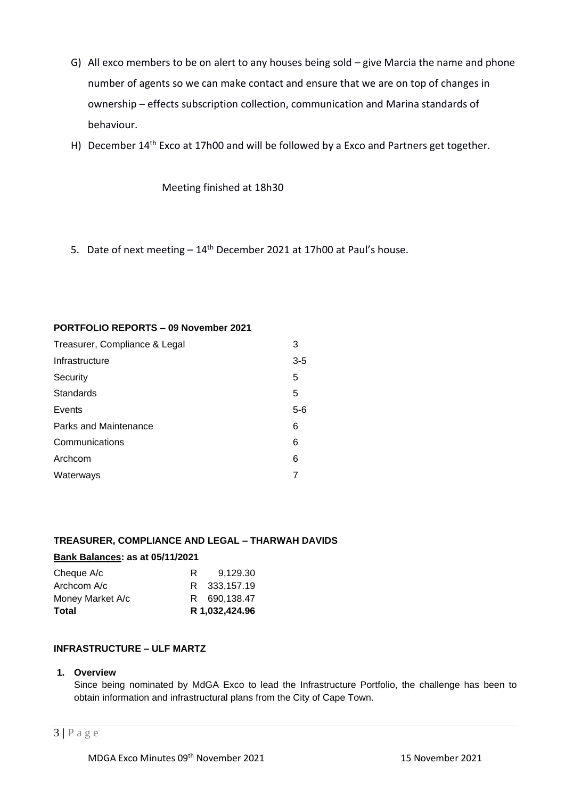- G) All exco members to be on alert to any houses being sold give Marcia the name and phone number of agents so we can make contact and ensure that we are on top of changes in ownership – effects subscription collection, communication and Marina standards of behaviour.
- H) December  $14<sup>th</sup>$  Exco at 17h00 and will be followed by a Exco and Partners get together.

Meeting finished at 18h30

5. Date of next meeting  $-14<sup>th</sup>$  December 2021 at 17h00 at Paul's house.

# **PORTFOLIO REPORTS – 09 November 2021**

| Treasurer, Compliance & Legal |       |  |  |
|-------------------------------|-------|--|--|
| Infrastructure                | $3-5$ |  |  |
| Security                      | 5     |  |  |
| Standards                     | 5     |  |  |
| Events                        | $5-6$ |  |  |
| Parks and Maintenance         | 6     |  |  |
| Communications                | 6     |  |  |
| Archcom                       | 6     |  |  |
| Waterways                     |       |  |  |

# **TREASURER, COMPLIANCE AND LEGAL – THARWAH DAVIDS**

# **Bank Balances: as at 05/11/2021**

|   | R 1,032,424.96 |
|---|----------------|
|   | R 690,138.47   |
|   | R 333.157.19   |
| R | 9.129.30       |
|   |                |

# **INFRASTRUCTURE – ULF MARTZ**

## **1. Overview**

Since being nominated by MdGA Exco to lead the Infrastructure Portfolio, the challenge has been to obtain information and infrastructural plans from the City of Cape Town.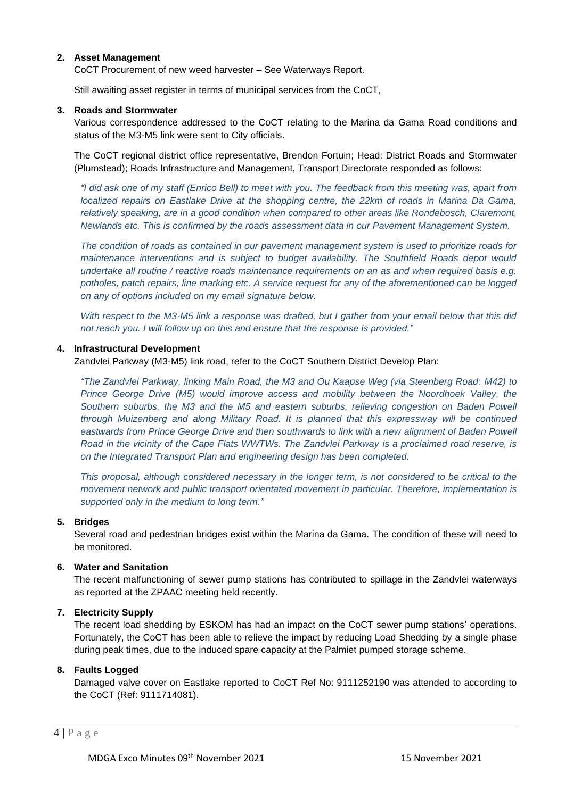## **2. Asset Management**

CoCT Procurement of new weed harvester – See Waterways Report.

Still awaiting asset register in terms of municipal services from the CoCT,

#### **3. Roads and Stormwater**

Various correspondence addressed to the CoCT relating to the Marina da Gama Road conditions and status of the M3-M5 link were sent to City officials.

The CoCT regional district office representative, Brendon Fortuin; Head: District Roads and Stormwater (Plumstead); Roads Infrastructure and Management, Transport Directorate responded as follows:

*"I did ask one of my staff (Enrico Bell) to meet with you. The feedback from this meeting was, apart from localized repairs on Eastlake Drive at the shopping centre, the 22km of roads in Marina Da Gama, relatively speaking, are in a good condition when compared to other areas like Rondebosch, Claremont, Newlands etc. This is confirmed by the roads assessment data in our Pavement Management System.* 

*The condition of roads as contained in our pavement management system is used to prioritize roads for maintenance interventions and is subject to budget availability. The Southfield Roads depot would undertake all routine / reactive roads maintenance requirements on an as and when required basis e.g. potholes, patch repairs, line marking etc. A service request for any of the aforementioned can be logged on any of options included on my email signature below.*

*With respect to the M3-M5 link a response was drafted, but I gather from your email below that this did not reach you. I will follow up on this and ensure that the response is provided."* 

## **4. Infrastructural Development**

Zandvlei Parkway (M3-M5) link road, refer to the CoCT Southern District Develop Plan:

*"The Zandvlei Parkway, linking Main Road, the M3 and Ou Kaapse Weg (via Steenberg Road: M42) to Prince George Drive (M5) would improve access and mobility between the Noordhoek Valley, the Southern suburbs, the M3 and the M5 and eastern suburbs, relieving congestion on Baden Powell through Muizenberg and along Military Road. It is planned that this expressway will be continued eastwards from Prince George Drive and then southwards to link with a new alignment of Baden Powell Road in the vicinity of the Cape Flats WWTWs. The Zandvlei Parkway is a proclaimed road reserve, is on the Integrated Transport Plan and engineering design has been completed.*

*This proposal, although considered necessary in the longer term, is not considered to be critical to the movement network and public transport orientated movement in particular. Therefore, implementation is supported only in the medium to long term."*

## **5. Bridges**

Several road and pedestrian bridges exist within the Marina da Gama. The condition of these will need to be monitored.

## **6. Water and Sanitation**

The recent malfunctioning of sewer pump stations has contributed to spillage in the Zandvlei waterways as reported at the ZPAAC meeting held recently.

#### **7. Electricity Supply**

The recent load shedding by ESKOM has had an impact on the CoCT sewer pump stations' operations. Fortunately, the CoCT has been able to relieve the impact by reducing Load Shedding by a single phase during peak times, due to the induced spare capacity at the Palmiet pumped storage scheme.

## **8. Faults Logged**

Damaged valve cover on Eastlake reported to CoCT Ref No: 9111252190 was attended to according to the CoCT (Ref: 9111714081).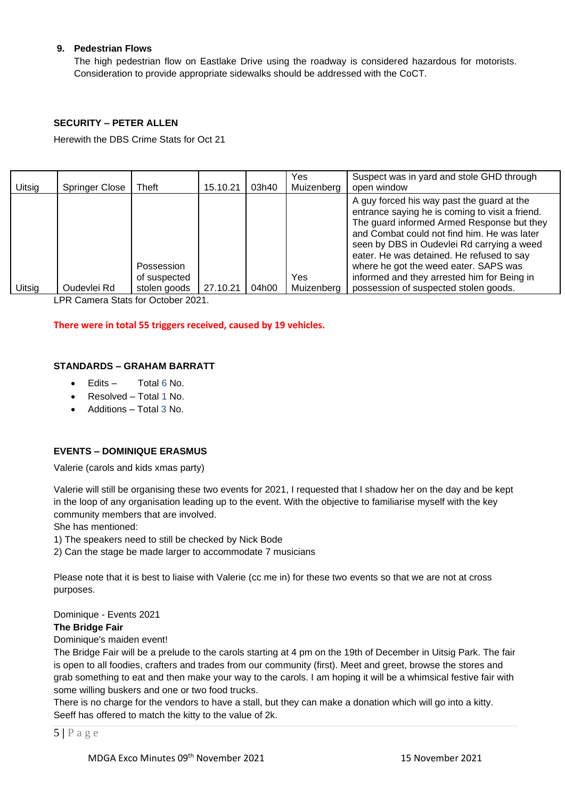# **9. Pedestrian Flows**

The high pedestrian flow on Eastlake Drive using the roadway is considered hazardous for motorists. Consideration to provide appropriate sidewalks should be addressed with the CoCT.

## **SECURITY – PETER ALLEN**

Herewith the DBS Crime Stats for Oct 21

| Uitsig | <b>Springer Close</b> | Theft                                      | 15.10.21 | 03h40 | Yes<br>Muizenberg | Suspect was in yard and stole GHD through<br>open window                                                                                                                                                                                                                                                                                                                                                               |
|--------|-----------------------|--------------------------------------------|----------|-------|-------------------|------------------------------------------------------------------------------------------------------------------------------------------------------------------------------------------------------------------------------------------------------------------------------------------------------------------------------------------------------------------------------------------------------------------------|
| Uitsig | Oudevlei Rd           | Possession<br>of suspected<br>stolen goods | 27.10.21 | 04h00 | Yes<br>Muizenberg | A guy forced his way past the guard at the<br>entrance saying he is coming to visit a friend.<br>The guard informed Armed Response but they<br>and Combat could not find him. He was later<br>seen by DBS in Oudevlei Rd carrying a weed<br>eater. He was detained. He refused to say<br>where he got the weed eater. SAPS was<br>informed and they arrested him for Being in<br>possession of suspected stolen goods. |

LPR Camera Stats for October 2021.

#### **There were in total 55 triggers received, caused by 19 vehicles.**

## **STANDARDS – GRAHAM BARRATT**

- $E$ dits  $-$  Total 6 No.
- Resolved Total 1 No.
- Additions Total 3 No.

# **EVENTS – DOMINIQUE ERASMUS**

Valerie (carols and kids xmas party)

Valerie will still be organising these two events for 2021, I requested that I shadow her on the day and be kept in the loop of any organisation leading up to the event. With the objective to familiarise myself with the key community members that are involved.

She has mentioned:

1) The speakers need to still be checked by Nick Bode

2) Can the stage be made larger to accommodate 7 musicians

Please note that it is best to liaise with Valerie (cc me in) for these two events so that we are not at cross purposes.

Dominique - Events 2021

#### **The Bridge Fair**

Dominique's maiden event!

The Bridge Fair will be a prelude to the carols starting at 4 pm on the 19th of December in Uitsig Park. The fair is open to all foodies, crafters and trades from our community (first). Meet and greet, browse the stores and grab something to eat and then make your way to the carols. I am hoping it will be a whimsical festive fair with some willing buskers and one or two food trucks.

There is no charge for the vendors to have a stall, but they can make a donation which will go into a kitty. Seeff has offered to match the kitty to the value of 2k.

5 **|** P a g e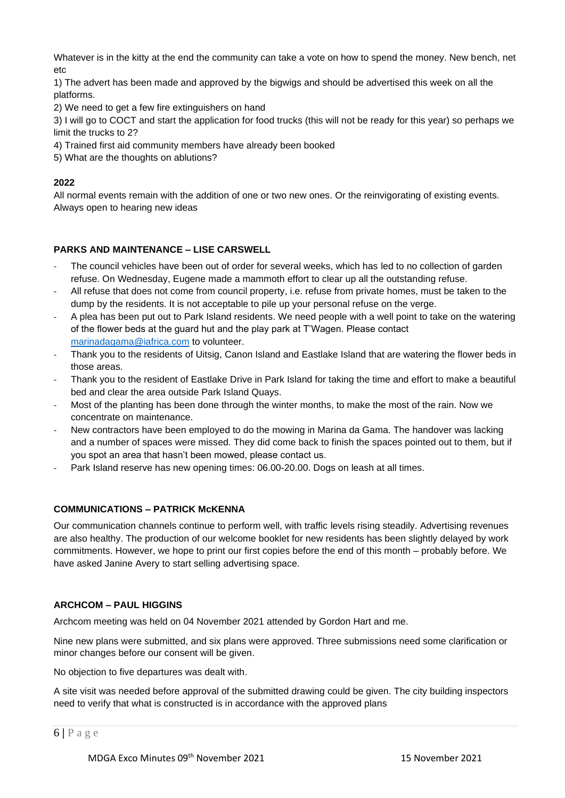Whatever is in the kitty at the end the community can take a vote on how to spend the money. New bench, net etc

1) The advert has been made and approved by the bigwigs and should be advertised this week on all the platforms.

2) We need to get a few fire extinguishers on hand

3) I will go to COCT and start the application for food trucks (this will not be ready for this year) so perhaps we limit the trucks to 2?

- 4) Trained first aid community members have already been booked
- 5) What are the thoughts on ablutions?

# **2022**

All normal events remain with the addition of one or two new ones. Or the reinvigorating of existing events. Always open to hearing new ideas

# **PARKS AND MAINTENANCE – LISE CARSWELL**

- The council vehicles have been out of order for several weeks, which has led to no collection of garden refuse. On Wednesday, Eugene made a mammoth effort to clear up all the outstanding refuse.
- All refuse that does not come from council property, i.e. refuse from private homes, must be taken to the dump by the residents. It is not acceptable to pile up your personal refuse on the verge.
- A plea has been put out to Park Island residents. We need people with a well point to take on the watering of the flower beds at the guard hut and the play park at T'Wagen. Please contact [marinadagama@iafrica.com](mailto:marinadagama@iafrica.com) to volunteer.
- Thank you to the residents of Uitsig, Canon Island and Eastlake Island that are watering the flower beds in those areas.
- Thank you to the resident of Eastlake Drive in Park Island for taking the time and effort to make a beautiful bed and clear the area outside Park Island Quays.
- Most of the planting has been done through the winter months, to make the most of the rain. Now we concentrate on maintenance.
- New contractors have been employed to do the mowing in Marina da Gama. The handover was lacking and a number of spaces were missed. They did come back to finish the spaces pointed out to them, but if you spot an area that hasn't been mowed, please contact us.
- Park Island reserve has new opening times: 06.00-20.00. Dogs on leash at all times.

## **COMMUNICATIONS – PATRICK McKENNA**

Our communication channels continue to perform well, with traffic levels rising steadily. Advertising revenues are also healthy. The production of our welcome booklet for new residents has been slightly delayed by work commitments. However, we hope to print our first copies before the end of this month – probably before. We have asked Janine Avery to start selling advertising space.

## **ARCHCOM – PAUL HIGGINS**

Archcom meeting was held on 04 November 2021 attended by Gordon Hart and me.

Nine new plans were submitted, and six plans were approved. Three submissions need some clarification or minor changes before our consent will be given.

No objection to five departures was dealt with.

A site visit was needed before approval of the submitted drawing could be given. The city building inspectors need to verify that what is constructed is in accordance with the approved plans